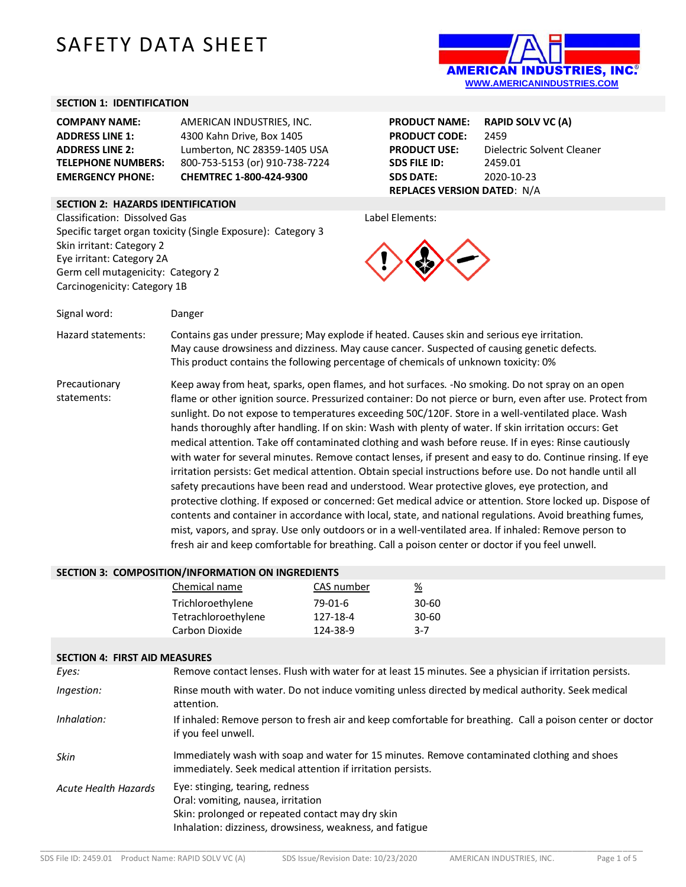# SAFETY DATA SHEET



#### **SECTION 1: IDENTIFICATION**

| <b>COMPANY NAME:</b>      | AMERICAN INDUSTRIES. INC.      |
|---------------------------|--------------------------------|
| <b>ADDRESS LINE 1:</b>    | 4300 Kahn Drive, Box 1405      |
| <b>ADDRESS LINE 2:</b>    | Lumberton, NC 28359-1405 USA   |
| <b>TELEPHONE NUMBERS:</b> | 800-753-5153 (or) 910-738-7224 |
| <b>EMERGENCY PHONE:</b>   | CHEMTREC 1-800-424-9300        |

## **SECTION 2: HAZARDS IDENTIFICATION**

Classification: Dissolved Gas Specific target organ toxicity (Single Exposure): Category 3 Skin irritant: Category 2 Eye irritant: Category 2A Germ cell mutagenicity: Category 2 Carcinogenicity: Category 1B

**PRODUCT NAME: RAPID SOLV VC (A) PRODUCT CODE:** 2459 **PRODUCT USE:** Dielectric Solvent Cleaner **SDS FILE ID:** 2459.01 **SDS DATE:** 2020-10-23 **REPLACES VERSION DATED**: N/A

Label Elements:



Signal word: Danger

Hazard statements: Contains gas under pressure; May explode if heated. Causes skin and serious eye irritation. May cause drowsiness and dizziness. May cause cancer. Suspected of causing genetic defects. This product contains the following percentage of chemicals of unknown toxicity: 0%

Precautionary statements: Keep away from heat, sparks, open flames, and hot surfaces. -No smoking. Do not spray on an open flame or other ignition source. Pressurized container: Do not pierce or burn, even after use. Protect from sunlight. Do not expose to temperatures exceeding 50C/120F. Store in a well-ventilated place. Wash hands thoroughly after handling. If on skin: Wash with plenty of water. If skin irritation occurs: Get medical attention. Take off contaminated clothing and wash before reuse. If in eyes: Rinse cautiously with water for several minutes. Remove contact lenses, if present and easy to do. Continue rinsing. If eye irritation persists: Get medical attention. Obtain special instructions before use. Do not handle until all safety precautions have been read and understood. Wear protective gloves, eye protection, and protective clothing. If exposed or concerned: Get medical advice or attention. Store locked up. Dispose of contents and container in accordance with local, state, and national regulations. Avoid breathing fumes, mist, vapors, and spray. Use only outdoors or in a well-ventilated area. If inhaled: Remove person to fresh air and keep comfortable for breathing. Call a poison center or doctor if you feel unwell.

#### **SECTION 3: COMPOSITION/INFORMATION ON INGREDIENTS**

| Chemical name       | CAS number | %         |
|---------------------|------------|-----------|
| Trichloroethylene   | 79-01-6    | $30 - 60$ |
| Tetrachloroethylene | 127-18-4   | $30 - 60$ |
| Carbon Dioxide      | 124-38-9   | 3-7       |

#### **SECTION 4: FIRST AID MEASURES**

| 9LUI 1911 TI TINYI ANG INGAYONLU |                                                                                                                                                                                       |
|----------------------------------|---------------------------------------------------------------------------------------------------------------------------------------------------------------------------------------|
| Eyes:                            | Remove contact lenses. Flush with water for at least 15 minutes. See a physician if irritation persists.                                                                              |
| Ingestion:                       | Rinse mouth with water. Do not induce vomiting unless directed by medical authority. Seek medical<br>attention.                                                                       |
| Inhalation:                      | If inhaled: Remove person to fresh air and keep comfortable for breathing. Call a poison center or doctor<br>if you feel unwell.                                                      |
| Skin                             | Immediately wash with soap and water for 15 minutes. Remove contaminated clothing and shoes<br>immediately. Seek medical attention if irritation persists.                            |
| Acute Health Hazards             | Eye: stinging, tearing, redness<br>Oral: vomiting, nausea, irritation<br>Skin: prolonged or repeated contact may dry skin<br>Inhalation: dizziness, drowsiness, weakness, and fatigue |

\_\_\_\_\_\_\_\_\_\_\_\_\_\_\_\_\_\_\_\_\_\_\_\_\_\_\_\_\_\_\_\_\_\_\_\_\_\_\_\_\_\_\_\_\_\_\_\_\_\_\_\_\_\_\_\_\_\_\_\_\_\_\_\_\_\_\_\_\_\_\_\_\_\_\_\_\_\_\_\_\_\_\_\_\_\_\_\_\_\_\_\_\_\_\_\_\_\_\_\_\_\_\_\_\_\_\_\_\_\_\_\_\_\_\_\_\_\_\_\_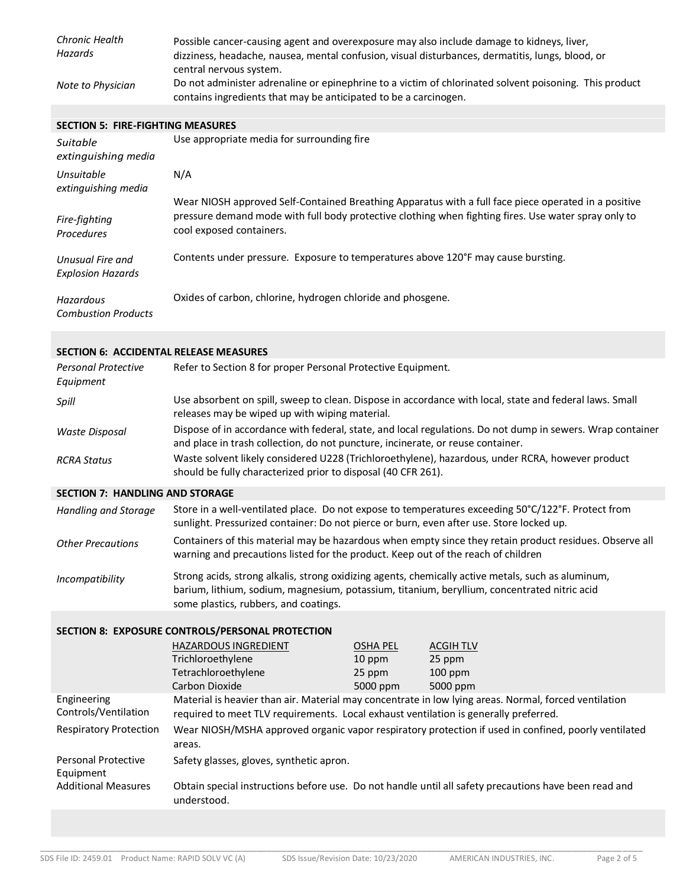| Chronic Health<br>Hazards | Possible cancer-causing agent and overexposure may also include damage to kidneys, liver,<br>dizziness, headache, nausea, mental confusion, visual disturbances, dermatitis, lungs, blood, or<br>central nervous system. |
|---------------------------|--------------------------------------------------------------------------------------------------------------------------------------------------------------------------------------------------------------------------|
| Note to Physician         | Do not administer adrenaline or epinephrine to a victim of chlorinated solvent poisoning. This product<br>contains ingredients that may be anticipated to be a carcinogen.                                               |

**SECTION 5: FIRE-FIGHTING MEASURES**

| Suitable<br>extinguishing media              | Use appropriate media for surrounding fire                                                                                                                                                                                               |
|----------------------------------------------|------------------------------------------------------------------------------------------------------------------------------------------------------------------------------------------------------------------------------------------|
| Unsuitable<br>extinguishing media            | N/A                                                                                                                                                                                                                                      |
| Fire-fighting<br><b>Procedures</b>           | Wear NIOSH approved Self-Contained Breathing Apparatus with a full face piece operated in a positive<br>pressure demand mode with full body protective clothing when fighting fires. Use water spray only to<br>cool exposed containers. |
| Unusual Fire and<br><b>Explosion Hazards</b> | Contents under pressure. Exposure to temperatures above 120°F may cause bursting.                                                                                                                                                        |
| Hazardous<br><b>Combustion Products</b>      | Oxides of carbon, chlorine, hydrogen chloride and phosgene.                                                                                                                                                                              |

## **SECTION 6: ACCIDENTAL RELEASE MEASURES**

| <b>Personal Protective</b><br>Equipment | Refer to Section 8 for proper Personal Protective Equipment.                                                                                                                                  |
|-----------------------------------------|-----------------------------------------------------------------------------------------------------------------------------------------------------------------------------------------------|
| Spill                                   | Use absorbent on spill, sweep to clean. Dispose in accordance with local, state and federal laws. Small<br>releases may be wiped up with wiping material.                                     |
| Waste Disposal                          | Dispose of in accordance with federal, state, and local regulations. Do not dump in sewers. Wrap container<br>and place in trash collection, do not puncture, incinerate, or reuse container. |
| <b>RCRA Status</b>                      | Waste solvent likely considered U228 (Trichloroethylene), hazardous, under RCRA, however product<br>should be fully characterized prior to disposal (40 CFR 261).                             |

## **SECTION 7: HANDLING AND STORAGE**

| Handling and Storage     | Store in a well-ventilated place. Do not expose to temperatures exceeding $50^{\circ}C/122^{\circ}F$ . Protect from<br>sunlight. Pressurized container: Do not pierce or burn, even after use. Store locked up.                             |
|--------------------------|---------------------------------------------------------------------------------------------------------------------------------------------------------------------------------------------------------------------------------------------|
| <b>Other Precautions</b> | Containers of this material may be hazardous when empty since they retain product residues. Observe all<br>warning and precautions listed for the product. Keep out of the reach of children                                                |
| Incompatibility          | Strong acids, strong alkalis, strong oxidizing agents, chemically active metals, such as aluminum,<br>barium, lithium, sodium, magnesium, potassium, titanium, beryllium, concentrated nitric acid<br>some plastics, rubbers, and coatings. |

## **SECTION 8: EXPOSURE CONTROLS/PERSONAL PROTECTION**

|                                     | <b>HAZARDOUS INGREDIENT</b>                                                          | <b>OSHA PEL</b> | <b>ACGIH TLV</b>                                                                                      |
|-------------------------------------|--------------------------------------------------------------------------------------|-----------------|-------------------------------------------------------------------------------------------------------|
|                                     | Trichloroethylene                                                                    | 10 ppm          | 25 ppm                                                                                                |
|                                     | Tetrachloroethylene                                                                  | 25 ppm          | $100$ ppm                                                                                             |
|                                     | Carbon Dioxide                                                                       | 5000 ppm        | 5000 ppm                                                                                              |
| Engineering<br>Controls/Ventilation | required to meet TLV requirements. Local exhaust ventilation is generally preferred. |                 | Material is heavier than air. Material may concentrate in low lying areas. Normal, forced ventilation |
| <b>Respiratory Protection</b>       | areas.                                                                               |                 | Wear NIOSH/MSHA approved organic vapor respiratory protection if used in confined, poorly ventilated  |
| Personal Protective<br>Equipment    | Safety glasses, gloves, synthetic apron.                                             |                 |                                                                                                       |
| <b>Additional Measures</b>          | understood.                                                                          |                 | Obtain special instructions before use. Do not handle until all safety precautions have been read and |
|                                     |                                                                                      |                 |                                                                                                       |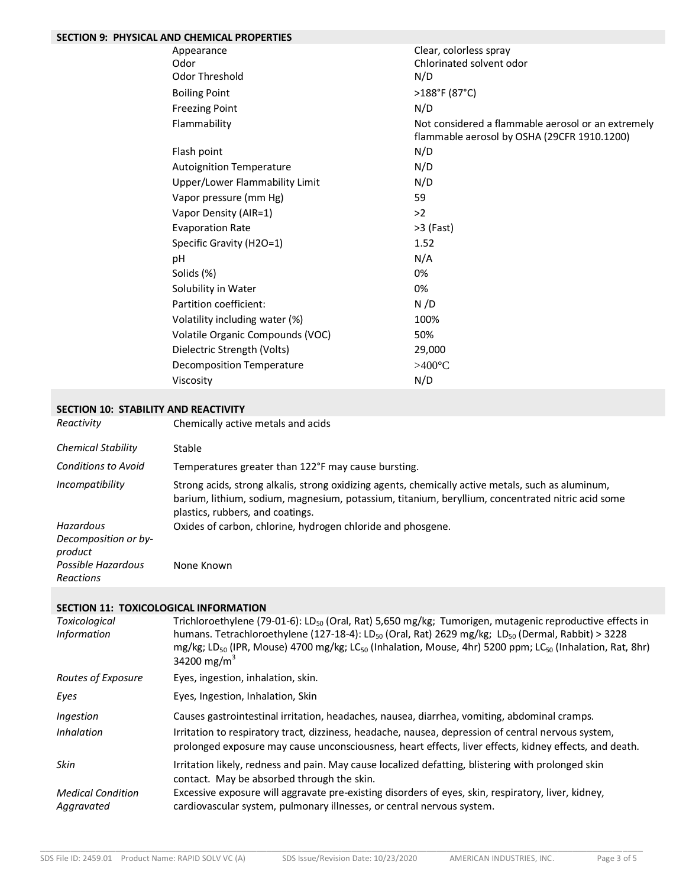| <b>SECTION 9: PHYSICAL AND CHEMICAL PROPERTIES</b> |                                                                                                   |
|----------------------------------------------------|---------------------------------------------------------------------------------------------------|
| Appearance                                         | Clear, colorless spray                                                                            |
| Odor                                               | Chlorinated solvent odor                                                                          |
| <b>Odor Threshold</b>                              | N/D                                                                                               |
| <b>Boiling Point</b>                               | >188°F (87°C)                                                                                     |
| <b>Freezing Point</b>                              | N/D                                                                                               |
| Flammability                                       | Not considered a flammable aerosol or an extremely<br>flammable aerosol by OSHA (29CFR 1910.1200) |
| Flash point                                        | N/D                                                                                               |
| <b>Autoignition Temperature</b>                    | N/D                                                                                               |
| Upper/Lower Flammability Limit                     | N/D                                                                                               |
| Vapor pressure (mm Hg)                             | 59                                                                                                |
| Vapor Density (AIR=1)                              | >2                                                                                                |
| <b>Evaporation Rate</b>                            | $>3$ (Fast)                                                                                       |
| Specific Gravity (H2O=1)                           | 1.52                                                                                              |
| рH                                                 | N/A                                                                                               |
| Solids (%)                                         | 0%                                                                                                |
| Solubility in Water                                | 0%                                                                                                |
| Partition coefficient:                             | N/D                                                                                               |
| Volatility including water (%)                     | 100%                                                                                              |
| Volatile Organic Compounds (VOC)                   | 50%                                                                                               |
| Dielectric Strength (Volts)                        | 29,000                                                                                            |
| <b>Decomposition Temperature</b>                   | $>400^{\circ}C$                                                                                   |
| Viscosity                                          | N/D                                                                                               |

#### **SECTION 10: STABILITY AND REACTIVITY**

| Reactivity                      | Chemically active metals and acids                                                                                                                                                                                                          |
|---------------------------------|---------------------------------------------------------------------------------------------------------------------------------------------------------------------------------------------------------------------------------------------|
| <b>Chemical Stability</b>       | Stable                                                                                                                                                                                                                                      |
| <b>Conditions to Avoid</b>      | Temperatures greater than 122°F may cause bursting.                                                                                                                                                                                         |
| Incompatibility                 | Strong acids, strong alkalis, strong oxidizing agents, chemically active metals, such as aluminum,<br>barium, lithium, sodium, magnesium, potassium, titanium, beryllium, concentrated nitric acid some<br>plastics, rubbers, and coatings. |
| Hazardous                       | Oxides of carbon, chlorine, hydrogen chloride and phosgene.                                                                                                                                                                                 |
| Decomposition or by-<br>product |                                                                                                                                                                                                                                             |
| Possible Hazardous<br>Reactions | None Known                                                                                                                                                                                                                                  |

#### **SECTION 11: TOXICOLOGICAL INFORMATION**

| <b>Toxicological</b><br><i>Information</i> | Trichloroethylene (79-01-6): LD <sub>50</sub> (Oral, Rat) 5,650 mg/kg; Tumorigen, mutagenic reproductive effects in<br>humans. Tetrachloroethylene (127-18-4): LD <sub>50</sub> (Oral, Rat) 2629 mg/kg; LD <sub>50</sub> (Dermal, Rabbit) > 3228<br>mg/kg; LD <sub>50</sub> (IPR, Mouse) 4700 mg/kg; LC <sub>50</sub> (Inhalation, Mouse, 4hr) 5200 ppm; LC <sub>50</sub> (Inhalation, Rat, 8hr)<br>34200 mg/m <sup>3</sup> |
|--------------------------------------------|-----------------------------------------------------------------------------------------------------------------------------------------------------------------------------------------------------------------------------------------------------------------------------------------------------------------------------------------------------------------------------------------------------------------------------|
| Routes of Exposure                         | Eyes, ingestion, inhalation, skin.                                                                                                                                                                                                                                                                                                                                                                                          |
| Eyes                                       | Eyes, Ingestion, Inhalation, Skin                                                                                                                                                                                                                                                                                                                                                                                           |
| Ingestion<br><i>Inhalation</i>             | Causes gastrointestinal irritation, headaches, nausea, diarrhea, vomiting, abdominal cramps.<br>Irritation to respiratory tract, dizziness, headache, nausea, depression of central nervous system,<br>prolonged exposure may cause unconsciousness, heart effects, liver effects, kidney effects, and death.                                                                                                               |
| <b>Skin</b>                                | Irritation likely, redness and pain. May cause localized defatting, blistering with prolonged skin<br>contact. May be absorbed through the skin.                                                                                                                                                                                                                                                                            |
| <b>Medical Condition</b><br>Aggravated     | Excessive exposure will aggravate pre-existing disorders of eyes, skin, respiratory, liver, kidney,<br>cardiovascular system, pulmonary illnesses, or central nervous system.                                                                                                                                                                                                                                               |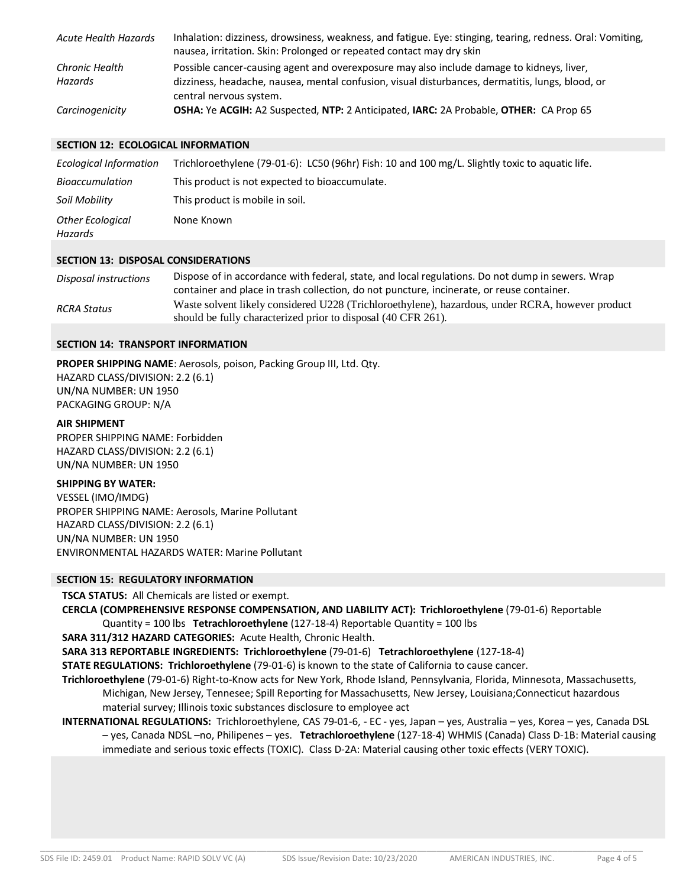| <b>Acute Health Hazards</b> | Inhalation: dizziness, drowsiness, weakness, and fatigue. Eye: stinging, tearing, redness. Oral: Vomiting,<br>nausea, irritation. Skin: Prolonged or repeated contact may dry skin                                       |
|-----------------------------|--------------------------------------------------------------------------------------------------------------------------------------------------------------------------------------------------------------------------|
| Chronic Health<br>Hazards   | Possible cancer-causing agent and overexposure may also include damage to kidneys, liver,<br>dizziness, headache, nausea, mental confusion, visual disturbances, dermatitis, lungs, blood, or<br>central nervous system. |
| Carcinogenicity             | OSHA: Ye ACGIH: A2 Suspected, NTP: 2 Anticipated, IARC: 2A Probable, OTHER: CA Prop 65                                                                                                                                   |

### **SECTION 12: ECOLOGICAL INFORMATION**

| Ecological Information      | Trichloroethylene (79-01-6): LC50 (96hr) Fish: 10 and 100 mg/L. Slightly toxic to aquatic life. |
|-----------------------------|-------------------------------------------------------------------------------------------------|
| <b>Bioaccumulation</b>      | This product is not expected to bioaccumulate.                                                  |
| Soil Mobility               | This product is mobile in soil.                                                                 |
| Other Ecological<br>Hazards | None Known                                                                                      |

#### **SECTION 13: DISPOSAL CONSIDERATIONS**

| Disposal instructions | Dispose of in accordance with federal, state, and local regulations. Do not dump in sewers. Wrap |
|-----------------------|--------------------------------------------------------------------------------------------------|
|                       | container and place in trash collection, do not puncture, incinerate, or reuse container.        |
| <b>RCRA Status</b>    | Waste solvent likely considered U228 (Trichloroethylene), hazardous, under RCRA, however product |
|                       | should be fully characterized prior to disposal (40 CFR 261).                                    |

#### **SECTION 14: TRANSPORT INFORMATION**

**PROPER SHIPPING NAME**: Aerosols, poison, Packing Group III, Ltd. Qty. HAZARD CLASS/DIVISION: 2.2 (6.1) UN/NA NUMBER: UN 1950 PACKAGING GROUP: N/A

**AIR SHIPMENT** PROPER SHIPPING NAME: Forbidden HAZARD CLASS/DIVISION: 2.2 (6.1) UN/NA NUMBER: UN 1950

#### **SHIPPING BY WATER:**

VESSEL (IMO/IMDG) PROPER SHIPPING NAME: Aerosols, Marine Pollutant HAZARD CLASS/DIVISION: 2.2 (6.1) UN/NA NUMBER: UN 1950 ENVIRONMENTAL HAZARDS WATER: Marine Pollutant

#### **SECTION 15: REGULATORY INFORMATION**

**TSCA STATUS:** All Chemicals are listed or exempt.

**CERCLA (COMPREHENSIVE RESPONSE COMPENSATION, AND LIABILITY ACT): Trichloroethylene** (79-01-6) Reportable Quantity = 100 lbs **Tetrachloroethylene** (127-18-4) Reportable Quantity = 100 lbs

**SARA 311/312 HAZARD CATEGORIES:** Acute Health, Chronic Health.

**SARA 313 REPORTABLE INGREDIENTS: Trichloroethylene** (79-01-6) **Tetrachloroethylene** (127-18-4)

**STATE REGULATIONS: Trichloroethylene** (79-01-6) is known to the state of California to cause cancer.

- **Trichloroethylene** (79-01-6) Right-to-Know acts for New York, Rhode Island, Pennsylvania, Florida, Minnesota, Massachusetts, Michigan, New Jersey, Tennesee; Spill Reporting for Massachusetts, New Jersey, Louisiana;Connecticut hazardous material survey; Illinois toxic substances disclosure to employee act
- **INTERNATIONAL REGULATIONS:** Trichloroethylene, CAS 79-01-6, EC yes, Japan yes, Australia yes, Korea yes, Canada DSL – yes, Canada NDSL –no, Philipenes – yes. **Tetrachloroethylene** (127-18-4) WHMIS (Canada) Class D-1B: Material causing immediate and serious toxic effects (TOXIC). Class D-2A: Material causing other toxic effects (VERY TOXIC).